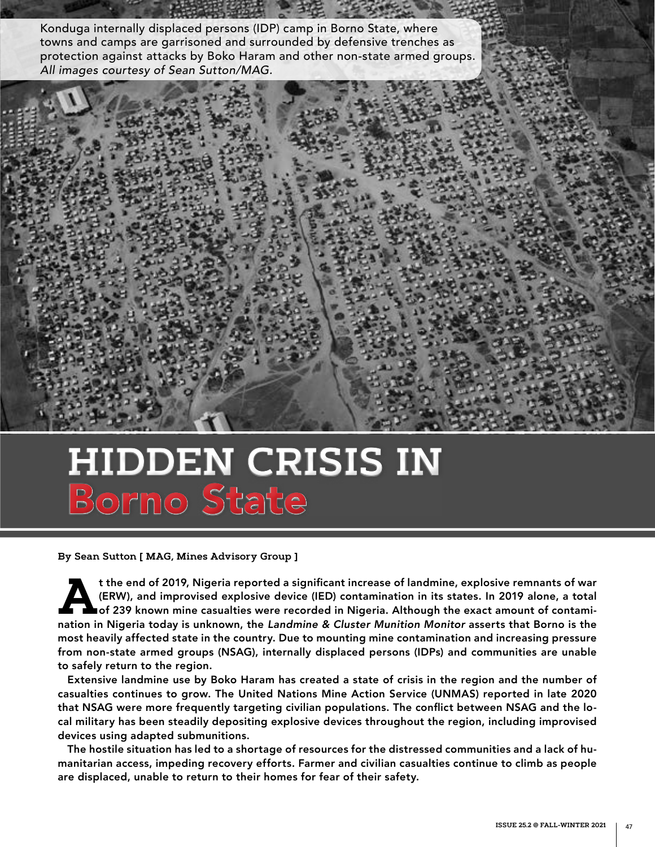Konduga internally displaced persons (IDP) camp in Borno State, where towns and camps are garrisoned and surrounded by defensive trenches as protection against attacks by Boko Haram and other non-state armed groups. *All images courtesy of Sean Sutton/MAG.*

# **HIDDEN CRISIS IN** Borno State

**By Sean Sutton [ MAG, Mines Advisory Group ]**

t the end of 2019, Nigeria reported a significant increase of landmine, explosive remnants of war<br>(ERW), and improvised explosive device (IED) contamination in its states. In 2019 alone, a total<br>of 239 known mine casualtie (ERW), and improvised explosive device (IED) contamination in its states. In 2019 alone, a total of 239 known mine casualties were recorded in Nigeria. Although the exact amount of contamination in Nigeria today is unknown, the *Landmine & Cluster Munition Monitor* asserts that Borno is the most heavily affected state in the country. Due to mounting mine contamination and increasing pressure from non-state armed groups (NSAG), internally displaced persons (IDPs) and communities are unable to safely return to the region.

Extensive landmine use by Boko Haram has created a state of crisis in the region and the number of casualties continues to grow. The United Nations Mine Action Service (UNMAS) reported in late 2020 that NSAG were more frequently targeting civilian populations. The conflict between NSAG and the local military has been steadily depositing explosive devices throughout the region, including improvised devices using adapted submunitions.

The hostile situation has led to a shortage of resources for the distressed communities and a lack of humanitarian access, impeding recovery efforts. Farmer and civilian casualties continue to climb as people are displaced, unable to return to their homes for fear of their safety.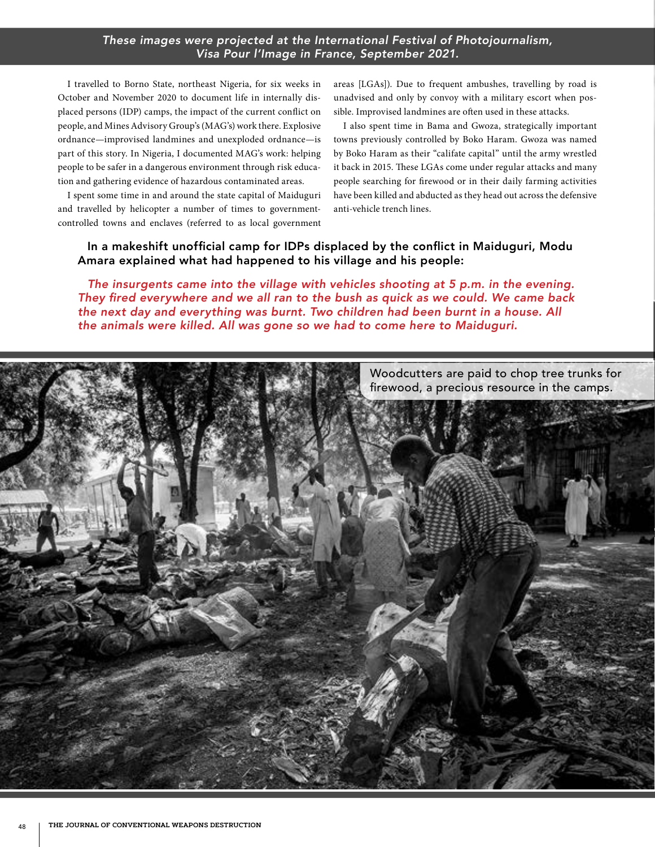## *These images were projected at the International Festival of Photojournalism, Visa Pour l'Image in France, September 2021.*

I travelled to Borno State, northeast Nigeria, for six weeks in October and November 2020 to document life in internally displaced persons (IDP) camps, the impact of the current conflict on people, and Mines Advisory Group's (MAG's) work there. Explosive ordnance—improvised landmines and unexploded ordnance—is part of this story. In Nigeria, I documented MAG's work: helping people to be safer in a dangerous environment through risk education and gathering evidence of hazardous contaminated areas.

I spent some time in and around the state capital of Maiduguri and travelled by helicopter a number of times to governmentcontrolled towns and enclaves (referred to as local government

areas [LGAs]). Due to frequent ambushes, travelling by road is unadvised and only by convoy with a military escort when possible. Improvised landmines are often used in these attacks.

I also spent time in Bama and Gwoza, strategically important towns previously controlled by Boko Haram. Gwoza was named by Boko Haram as their "califate capital" until the army wrestled it back in 2015. These LGAs come under regular attacks and many people searching for firewood or in their daily farming activities have been killed and abducted as they head out across the defensive anti-vehicle trench lines.

## In a makeshift unofficial camp for IDPs displaced by the conflict in Maiduguri, Modu Amara explained what had happened to his village and his people:

*The insurgents came into the village with vehicles shooting at 5 p.m. in the evening.*  They fired everywhere and we all ran to the bush as quick as we could. We came back *the next day and everything was burnt. Two children had been burnt in a house. All*  the animals were killed. All was gone so we had to come here to Maiduguri.

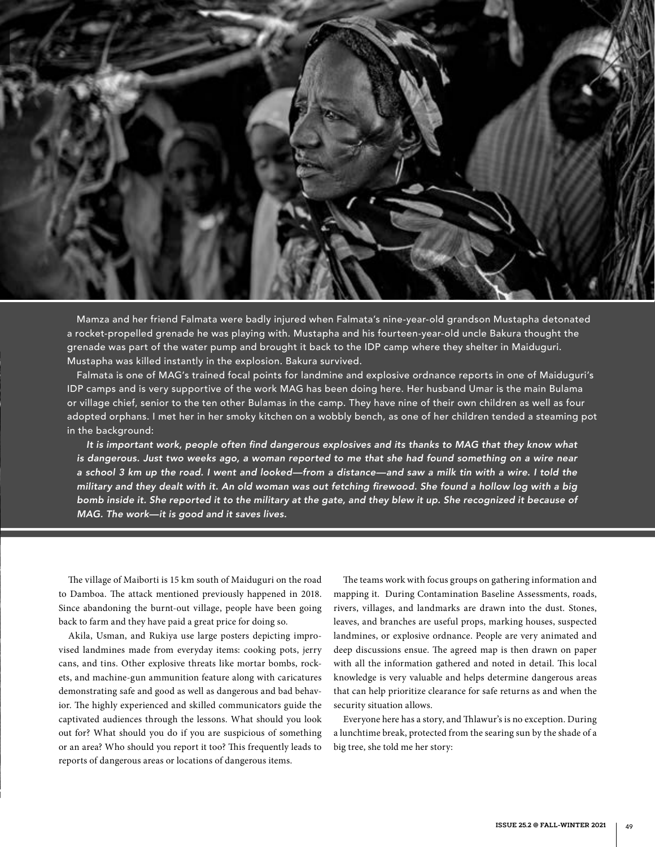

Mamza and her friend Falmata were badly injured when Falmata's nine-year-old grandson Mustapha detonated a rocket-propelled grenade he was playing with. Mustapha and his fourteen-year-old uncle Bakura thought the grenade was part of the water pump and brought it back to the IDP camp where they shelter in Maiduguri. Mustapha was killed instantly in the explosion. Bakura survived.

Falmata is one of MAG's trained focal points for landmine and explosive ordnance reports in one of Maiduguri's IDP camps and is very supportive of the work MAG has been doing here. Her husband Umar is the main Bulama or village chief, senior to the ten other Bulamas in the camp. They have nine of their own children as well as four adopted orphans. I met her in her smoky kitchen on a wobbly bench, as one of her children tended a steaming pot in the background:

It is important work, people often find dangerous explosives and its thanks to MAG that they know what is dangerous. Just two weeks ago, a woman reported to me that she had found something on a wire near a school 3 km up the road. I went and looked—from a distance—and saw a milk tin with a wire. I told the military and they dealt with it. An old woman was out fetching firewood. She found a hollow log with a big *bomb inside it. She reported it to the military at the gate, and they blew it up. She recognized it because of*  MAG. The work—it is good and it saves lives.

The village of Maiborti is 15 km south of Maiduguri on the road to Damboa. The attack mentioned previously happened in 2018. Since abandoning the burnt-out village, people have been going back to farm and they have paid a great price for doing so.

Akila, Usman, and Rukiya use large posters depicting improvised landmines made from everyday items: cooking pots, jerry cans, and tins. Other explosive threats like mortar bombs, rockets, and machine-gun ammunition feature along with caricatures demonstrating safe and good as well as dangerous and bad behavior. The highly experienced and skilled communicators guide the captivated audiences through the lessons. What should you look out for? What should you do if you are suspicious of something or an area? Who should you report it too? This frequently leads to reports of dangerous areas or locations of dangerous items.

The teams work with focus groups on gathering information and mapping it. During Contamination Baseline Assessments, roads, rivers, villages, and landmarks are drawn into the dust. Stones, leaves, and branches are useful props, marking houses, suspected landmines, or explosive ordnance. People are very animated and deep discussions ensue. The agreed map is then drawn on paper with all the information gathered and noted in detail. This local knowledge is very valuable and helps determine dangerous areas that can help prioritize clearance for safe returns as and when the security situation allows.

Everyone here has a story, and Thlawur's is no exception. During a lunchtime break, protected from the searing sun by the shade of a big tree, she told me her story: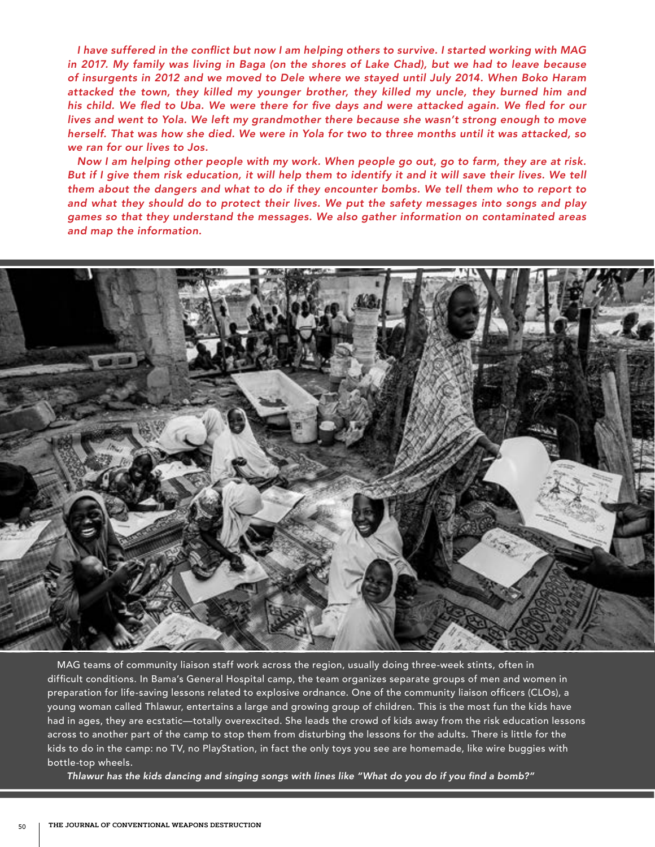I have suffered in the conflict but now I am helping others to survive. I started working with MAG in 2017. My family was living in Baga (on the shores of Lake Chad), but we had to leave because of insurgents in 2012 and we moved to Dele where we stayed until July 2014. When Boko Haram attacked the town, they killed my younger brother, they killed my uncle, they burned him and his child. We fled to Uba. We were there for five days and were attacked again. We fled for our lives and went to Yola. We left my grandmother there because she wasn't strong enough to move herself. That was how she died. We were in Yola for two to three months until it was attacked, so *we ran for our lives to Jos.*

Now I am helping other people with my work. When people go out, go to farm, they are at risk. But if I give them risk education, it will help them to identify it and it will save their lives. We tell them about the dangers and what to do if they encounter bombs. We tell them who to report to and what they should do to protect their lives. We put the safety messages into songs and play games so that they understand the messages. We also gather information on contaminated areas *and map the information.*



MAG teams of community liaison staff work across the region, usually doing three-week stints, often in difficult conditions. In Bama's General Hospital camp, the team organizes separate groups of men and women in preparation for life-saving lessons related to explosive ordnance. One of the community liaison officers (CLOs), a young woman called Thlawur, entertains a large and growing group of children. This is the most fun the kids have had in ages, they are ecstatic—totally overexcited. She leads the crowd of kids away from the risk education lessons across to another part of the camp to stop them from disturbing the lessons for the adults. There is little for the kids to do in the camp: no TV, no PlayStation, in fact the only toys you see are homemade, like wire buggies with bottle-top wheels.

Thlawur has the kids dancing and singing songs with lines like "What do you do if you find a bomb?"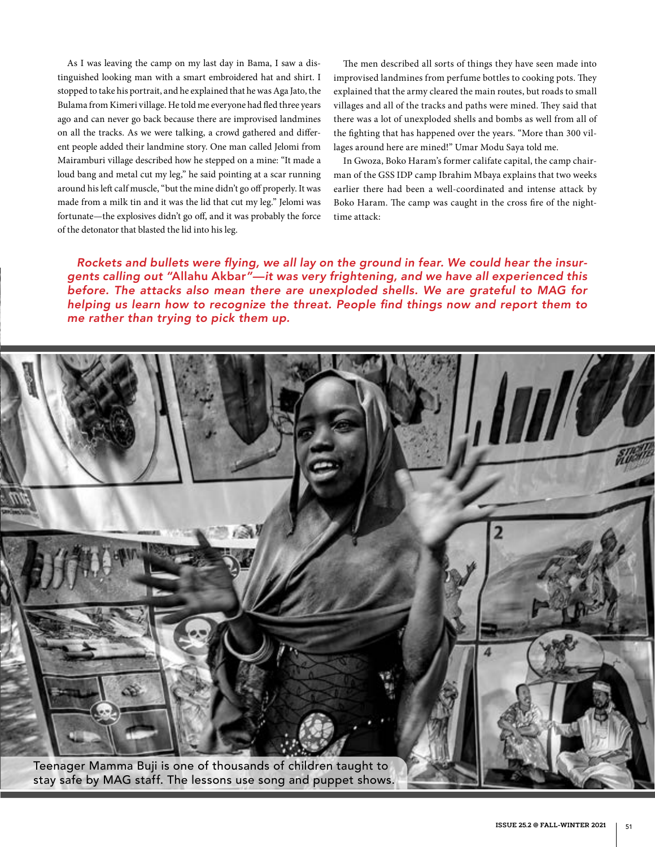As I was leaving the camp on my last day in Bama, I saw a distinguished looking man with a smart embroidered hat and shirt. I stopped to take his portrait, and he explained that he was Aga Jato, the Bulama from Kimeri village. He told me everyone had fled three years ago and can never go back because there are improvised landmines on all the tracks. As we were talking, a crowd gathered and different people added their landmine story. One man called Jelomi from Mairamburi village described how he stepped on a mine: "It made a loud bang and metal cut my leg," he said pointing at a scar running around his left calf muscle, "but the mine didn't go off properly. It was made from a milk tin and it was the lid that cut my leg." Jelomi was fortunate—the explosives didn't go off, and it was probably the force of the detonator that blasted the lid into his leg.

The men described all sorts of things they have seen made into improvised landmines from perfume bottles to cooking pots. They explained that the army cleared the main routes, but roads to small villages and all of the tracks and paths were mined. They said that there was a lot of unexploded shells and bombs as well from all of the fighting that has happened over the years. "More than 300 villages around here are mined!" Umar Modu Saya told me.

In Gwoza, Boko Haram's former califate capital, the camp chairman of the GSS IDP camp Ibrahim Mbaya explains that two weeks earlier there had been a well-coordinated and intense attack by Boko Haram. The camp was caught in the cross fire of the nighttime attack:

Rockets and bullets were flying, we all lay on the ground in fear. We could hear the insurgents calling out "Allahu Akbar"—it was very frightening, and we have all experienced this before. The attacks also mean there are unexploded shells. We are grateful to MAG for helping us learn how to recognize the threat. People find things now and report them to me rather than trying to pick them up.

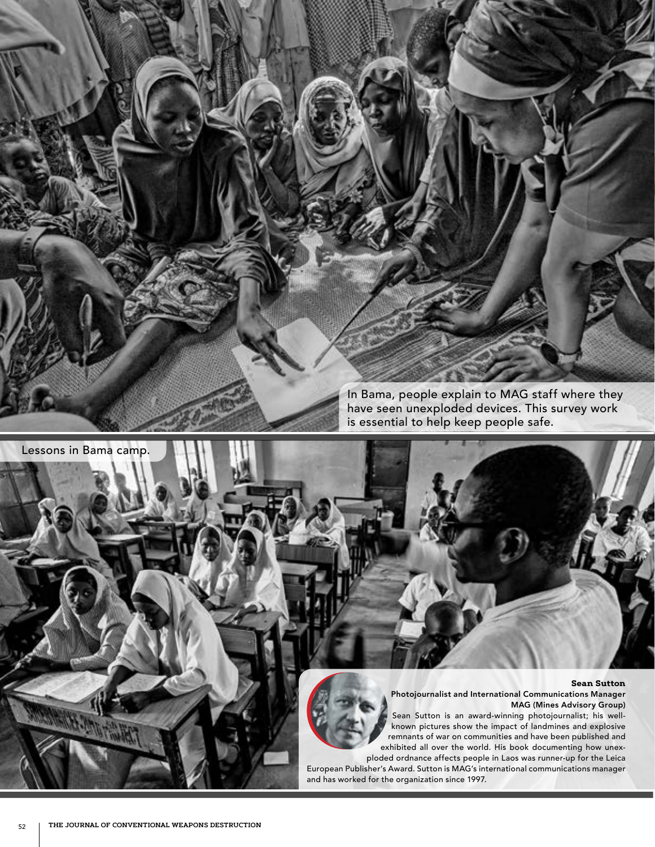In Bama, people explain to MAG staff where they have seen unexploded devices. This survey work is essential to help keep people safe.

#### **Sean Sutton**

Photojournalist and International Communications Manager MAG (Mines Advisory Group)

Sean Sutton is an award-winning photojournalist; his wellknown pictures show the impact of landmines and explosive remnants of war on communities and have been published and exhibited all over the world. His book documenting how unex-

ploded ordnance affects people in Laos was runner-up for the Leica European Publisher's Award. Sutton is MAG's international communications manager and has worked for the organization since 1997.

Lessons in Bama camp.